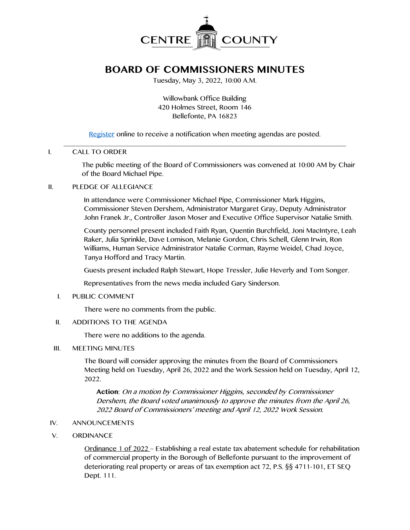

# **BOARD OF COMMISSIONERS MINUTES**

Tuesday, May 3, 2022, 10:00 A.M.

Willowbank Office Building 420 Holmes Street, Room 146 Bellefonte, PA 16823

[Register](http://www.centrecountypa.gov/AgendaCenter) online to receive a notification when meeting agendas are posted.

#### \_\_\_\_\_\_\_\_\_\_\_\_\_\_\_\_\_\_\_\_\_\_\_\_\_\_\_\_\_\_\_\_\_\_\_\_\_\_\_\_\_\_\_\_\_\_\_\_\_\_\_\_\_\_\_\_\_\_\_\_\_\_\_\_\_\_\_\_\_\_\_\_\_\_\_\_\_\_ I. CALL TO ORDER

The public meeting of the Board of Commissioners was convened at 10:00 AM by Chair of the Board Michael Pipe.

#### II. PLEDGE OF ALLEGIANCE

In attendance were Commissioner Michael Pipe, Commissioner Mark Higgins, Commissioner Steven Dershem, Administrator Margaret Gray, Deputy Administrator John Franek Jr., Controller Jason Moser and Executive Office Supervisor Natalie Smith.

County personnel present included Faith Ryan, Quentin Burchfield, Joni MacIntyre, Leah Raker, Julia Sprinkle, Dave Lomison, Melanie Gordon, Chris Schell, Glenn Irwin, Ron Williams, Human Service Administrator Natalie Corman, Rayme Weidel, Chad Joyce, Tanya Hofford and Tracy Martin.

Guests present included Ralph Stewart, Hope Tressler, Julie Heverly and Tom Songer.

Representatives from the news media included Gary Sinderson.

I. PUBLIC COMMENT

There were no comments from the public.

II. ADDITIONS TO THE AGENDA

There were no additions to the agenda.

III. MEETING MINUTES

The Board will consider approving the minutes from the Board of Commissioners Meeting held on Tuesday, April 26, 2022 and the Work Session held on Tuesday, April 12, 2022.

**Action**: On a motion by Commissioner Higgins, seconded by Commissioner Dershem, the Board voted unanimously to approve the minutes from the April 26, 2022 Board of Commissioners' meeting and April 12, 2022 Work Session.

- IV. ANNOUNCEMENTS
- V. ORDINANCE

Ordinance 1 of 2022 – Establishing a real estate tax abatement schedule for rehabilitation of commercial property in the Borough of Bellefonte pursuant to the improvement of deteriorating real property or areas of tax exemption act 72, P.S. §§ 4711-101, ET SEQ Dept. 111.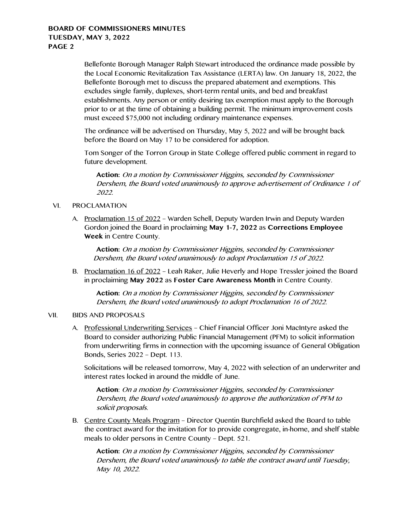Bellefonte Borough Manager Ralph Stewart introduced the ordinance made possible by the Local Economic Revitalization Tax Assistance (LERTA) law. On January 18, 2022, the Bellefonte Borough met to discuss the prepared abatement and exemptions. This excludes single family, duplexes, short-term rental units, and bed and breakfast establishments. Any person or entity desiring tax exemption must apply to the Borough prior to or at the time of obtaining a building permit. The minimum improvement costs must exceed \$75,000 not including ordinary maintenance expenses.

The ordinance will be advertised on Thursday, May 5, 2022 and will be brought back before the Board on May 17 to be considered for adoption.

Tom Songer of the Torron Group in State College offered public comment in regard to future development.

**Action:** On a motion by Commissioner Higgins, seconded by Commissioner Dershem, the Board voted unanimously to approve advertisement of Ordinance 1 of 2022.

#### VI. PROCLAMATION

A. Proclamation 15 of 2022 – Warden Schell, Deputy Warden Irwin and Deputy Warden Gordon joined the Board in proclaiming **May 1-7, 2022** as **Corrections Employee Week** in Centre County.

**Action:** On a motion by Commissioner Higgins, seconded by Commissioner Dershem, the Board voted unanimously to adopt Proclamation 15 of 2022.

B. Proclamation 16 of 2022 – Leah Raker, Julie Heverly and Hope Tressler joined the Board in proclaiming **May 2022** as **Foster Care Awareness Month** in Centre County.

**Action:** On a motion by Commissioner Higgins, seconded by Commissioner Dershem, the Board voted unanimously to adopt Proclamation 16 of 2022.

## VII. BIDS AND PROPOSALS

A. Professional Underwriting Services - Chief Financial Officer Joni MacIntyre asked the Board to consider authorizing Public Financial Management (PFM) to solicit information from underwriting firms in connection with the upcoming issuance of General Obligation Bonds, Series 2022 – Dept. 113.

Solicitations will be released tomorrow, May 4, 2022 with selection of an underwriter and interest rates locked in around the middle of June.

**Action**: On a motion by Commissioner Higgins, seconded by Commissioner Dershem, the Board voted unanimously to approve the authorization of PFM to solicit proposals.

B. Centre County Meals Program – Director Quentin Burchfield asked the Board to table the contract award for the invitation for to provide congregate, in-home, and shelf stable meals to older persons in Centre County – Dept. 521.

**Action:** On a motion by Commissioner Higgins, seconded by Commissioner Dershem, the Board voted unanimously to table the contract award until Tuesday, May 10, 2022.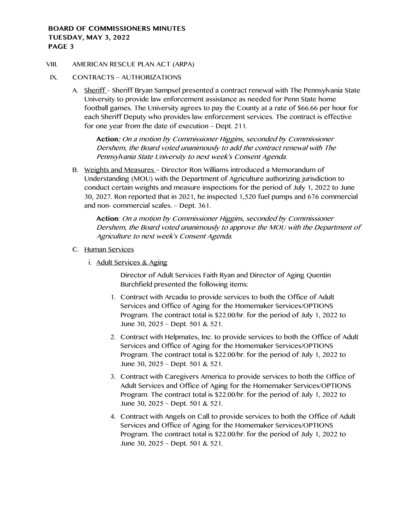#### VIII. AMERICAN RESCUE PLAN ACT (ARPA)

- IX. CONTRACTS AUTHORIZATIONS
	- A. Sheriff Sheriff Bryan Sampsel presented a contract renewal with The Pennsylvania State University to provide law enforcement assistance as needed for Penn State home football games. The University agrees to pay the County at a rate of \$66.66 per hour for each Sheriff Deputy who provides law enforcement services. The contract is effective for one year from the date of execution – Dept. 211.

**Action**: On a motion by Commissioner Higgins, seconded by Commissioner Dershem, the Board voted unanimously to add the contract renewal with The Pennsylvania State University to next week's Consent Agenda.

B. Weights and Measures – Director Ron Williams introduced a Memorandum of Understanding (MOU) with the Department of Agriculture authorizing jurisdiction to conduct certain weights and measure inspections for the period of July 1, 2022 to June 30, 2027. Ron reported that in 2021, he inspected 1,520 fuel pumps and 676 commercial and non- commercial scales. – Dept. 361.

**Action**: On a motion by Commissioner Higgins, seconded by Commissioner Dershem, the Board voted unanimously to approve the MOU with the Department of Agriculture to next week's Consent Agenda.

- C. Human Services
	- i. Adult Services & Aging

Director of Adult Services Faith Ryan and Director of Aging Quentin Burchfield presented the following items:

- 1. Contract with Arcadia to provide services to both the Office of Adult Services and Office of Aging for the Homemaker Services/OPTIONS Program. The contract total is \$22.00/hr. for the period of July 1, 2022 to June 30, 2025 – Dept. 501 & 521.
- 2. Contract with Helpmates, Inc. to provide services to both the Office of Adult Services and Office of Aging for the Homemaker Services/OPTIONS Program. The contract total is \$22.00/hr. for the period of July 1, 2022 to June 30, 2025 – Dept. 501 & 521.
- 3. Contract with Caregivers America to provide services to both the Office of Adult Services and Office of Aging for the Homemaker Services/OPTIONS Program. The contract total is \$22.00/hr. for the period of July 1, 2022 to June 30, 2025 – Dept. 501 & 521.
- 4. Contract with Angels on Call to provide services to both the Office of Adult Services and Office of Aging for the Homemaker Services/OPTIONS Program. The contract total is \$22.00/hr. for the period of July 1, 2022 to June 30, 2025 – Dept. 501 & 521.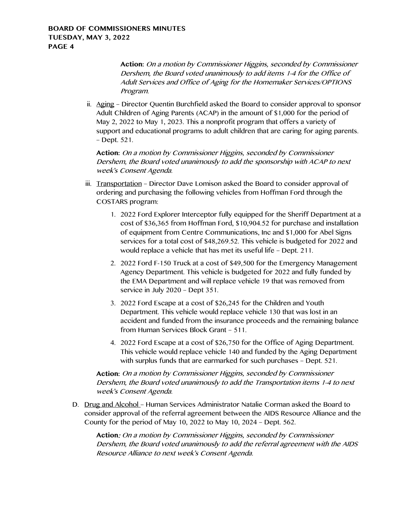**Action:** On a motion by Commissioner Higgins, seconded by Commissioner Dershem, the Board voted unanimously to add items 1-4 for the Office of Adult Services and Office of Aging for the Homemaker Services/OPTIONS Program.

ii. Aging – Director Quentin Burchfield asked the Board to consider approval to sponsor Adult Children of Aging Parents (ACAP) in the amount of \$1,000 for the period of May 2, 2022 to May 1, 2023. This a nonprofit program that offers a variety of support and educational programs to adult children that are caring for aging parents. – Dept. 521.

**Action:** On a motion by Commissioner Higgins, seconded by Commissioner Dershem, the Board voted unanimously to add the sponsorship with ACAP to next week's Consent Agenda.

- iii. Transportation Director Dave Lomison asked the Board to consider approval of ordering and purchasing the following vehicles from Hoffman Ford through the COSTARS program:
	- 1. 2022 Ford Explorer Interceptor fully equipped for the Sheriff Department at a cost of \$36,365 from Hoffman Ford, \$10,904.52 for purchase and installation of equipment from Centre Communications, Inc and \$1,000 for Abel Signs services for a total cost of \$48,269.52. This vehicle is budgeted for 2022 and would replace a vehicle that has met its useful life – Dept. 211.
	- 2. 2022 Ford F-150 Truck at a cost of \$49,500 for the Emergency Management Agency Department. This vehicle is budgeted for 2022 and fully funded by the EMA Department and will replace vehicle 19 that was removed from service in July 2020 – Dept 351.
	- 3. 2022 Ford Escape at a cost of \$26,245 for the Children and Youth Department. This vehicle would replace vehicle 130 that was lost in an accident and funded from the insurance proceeds and the remaining balance from Human Services Block Grant – 511.
	- 4. 2022 Ford Escape at a cost of \$26,750 for the Office of Aging Department. This vehicle would replace vehicle 140 and funded by the Aging Department with surplus funds that are earmarked for such purchases – Dept. 521.

**Action:** On a motion by Commissioner Higgins, seconded by Commissioner Dershem, the Board voted unanimously to add the Transportation items 1-4 to next week's Consent Agenda.

D. Drug and Alcohol – Human Services Administrator Natalie Corman asked the Board to consider approval of the referral agreement between the AIDS Resource Alliance and the County for the period of May 10, 2022 to May 10, 2024 – Dept. 562.

**Action**: On a motion by Commissioner Higgins, seconded by Commissioner Dershem, the Board voted unanimously to add the referral agreement with the AIDS Resource Alliance to next week's Consent Agenda.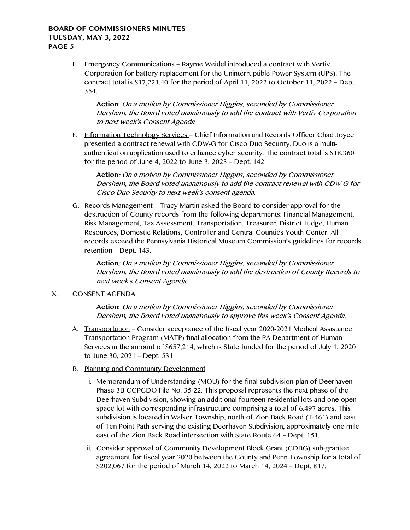E. Emergency Communications – Rayme Weidel introduced a contract with Vertiv Corporation for battery replacement for the Uninterruptible Power System (UPS). The contract total is \$17,221.40 for the period of April 11, 2022 to October 11, 2022 – Dept. 354.

**Action**: On a motion by Commissioner Higgins, seconded by Commissioner Dershem, the Board voted unanimously to add the contract with Vertiv Corporation to next week's Consent Agenda.

F. Information Technology Services - Chief Information and Records Officer Chad Joyce presented a contract renewal with CDW-G for Cisco Duo Security. Duo is a multiauthentication application used to enhance cyber security. The contract total is \$18,360 for the period of June 4, 2022 to June 3, 2023 – Dept. 142.

**Action**: On a motion by Commissioner Higgins, seconded by Commissioner Dershem, the Board voted unanimously to add the contract renewal with CDW-G for Cisco Duo Security to next week's consent agenda.

G. Records Management – Tracy Martin asked the Board to consider approval for the destruction of County records from the following departments: Financial Management, Risk Management, Tax Assessment, Transportation, Treasurer, District Judge, Human Resources, Domestic Relations, Controller and Central Counties Youth Center. All records exceed the Pennsylvania Historical Museum Commission's guidelines for records retention – Dept. 143.

**Action**: On a motion by Commissioner Higgins, seconded by Commissioner Dershem, the Board voted unanimously to add the destruction of County Records to next week's Consent Agenda.

# X. CONSENT AGENDA

**Action:** On a motion by Commissioner Higgins, seconded by Commissioner Dershem, the Board voted unanimously to approve this week's Consent Agenda.

- A. Transportation Consider acceptance of the fiscal year 2020-2021 Medical Assistance Transportation Program (MATP) final allocation from the PA Department of Human Services in the amount of \$657,214, which is State funded for the period of July 1, 2020 to June 30, 2021 – Dept. 531.
- B. Planning and Community Development
	- i. Memorandum of Understanding (MOU) for the final subdivision plan of Deerhaven Phase 3B CCPCDO File No. 35-22. This proposal represents the next phase of the Deerhaven Subdivision, showing an additional fourteen residential lots and one open space lot with corresponding infrastructure comprising a total of 6.497 acres. This subdivision is located in Walker Township, north of Zion Back Road (T-461) and east of Ten Point Path serving the existing Deerhaven Subdivision, approximately one mile east of the Zion Back Road intersection with State Route 64 – Dept. 151.
	- ii. Consider approval of Community Development Block Grant (CDBG) sub-grantee agreement for fiscal year 2020 between the County and Penn Township for a total of \$202,067 for the period of March 14, 2022 to March 14, 2024 – Dept. 817.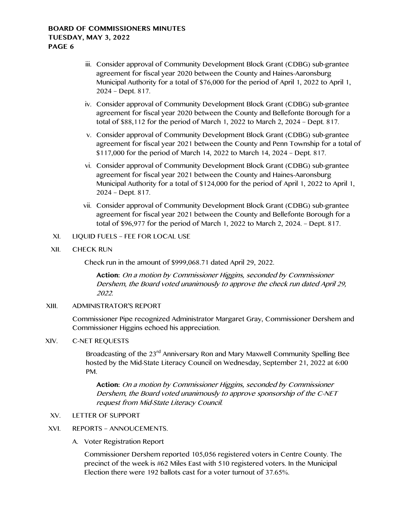- iii. Consider approval of Community Development Block Grant (CDBG) sub-grantee agreement for fiscal year 2020 between the County and Haines-Aaronsburg Municipal Authority for a total of \$76,000 for the period of April 1, 2022 to April 1, 2024 – Dept. 817.
- iv. Consider approval of Community Development Block Grant (CDBG) sub-grantee agreement for fiscal year 2020 between the County and Bellefonte Borough for a total of \$88,112 for the period of March 1, 2022 to March 2, 2024 – Dept. 817.
- v. Consider approval of Community Development Block Grant (CDBG) sub-grantee agreement for fiscal year 2021 between the County and Penn Township for a total of \$117,000 for the period of March 14, 2022 to March 14, 2024 – Dept. 817.
- vi. Consider approval of Community Development Block Grant (CDBG) sub-grantee agreement for fiscal year 2021 between the County and Haines-Aaronsburg Municipal Authority for a total of \$124,000 for the period of April 1, 2022 to April 1, 2024 – Dept. 817.
- vii. Consider approval of Community Development Block Grant (CDBG) sub-grantee agreement for fiscal year 2021 between the County and Bellefonte Borough for a total of \$96,977 for the period of March 1, 2022 to March 2, 2024. – Dept. 817.

#### XI. LIQUID FUELS – FEE FOR LOCAL USE

XII. CHECK RUN

Check run in the amount of \$999,068.71 dated April 29, 2022.

**Action:** On a motion by Commissioner Higgins, seconded by Commissioner Dershem, the Board voted unanimously to approve the check run dated April 29, 2022.

# XIII. ADMINISTRATOR'S REPORT

Commissioner Pipe recognized Administrator Margaret Gray, Commissioner Dershem and Commissioner Higgins echoed his appreciation.

#### XIV. C-NET REQUESTS

Broadcasting of the 23<sup>rd</sup> Anniversary Ron and Mary Maxwell Community Spelling Bee hosted by the Mid-State Literacy Council on Wednesday, September 21, 2022 at 6:00 PM.

**Action:** On a motion by Commissioner Higgins, seconded by Commissioner Dershem, the Board voted unanimously to approve sponsorship of the C-NET request from Mid-State Literacy Council.

## XV. LETTER OF SUPPORT

## XVI. REPORTS – ANNOUCEMENTS.

A. Voter Registration Report

Commissioner Dershem reported 105,056 registered voters in Centre County. The precinct of the week is #62 Miles East with 510 registered voters. In the Municipal Election there were 192 ballots cast for a voter turnout of 37.65%.